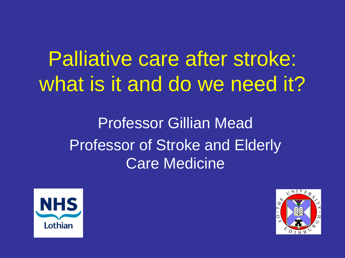# Palliative care after stroke: what is it and do we need it?

Professor Gillian Mead Professor of Stroke and Elderly Care Medicine



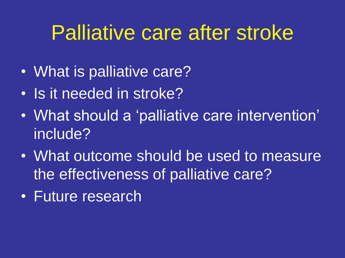### Palliative care after stroke

- What is palliative care?
- Is it needed in stroke?
- What should a 'palliative care intervention' include?
- What outcome should be used to measure the effectiveness of palliative care?
- Future research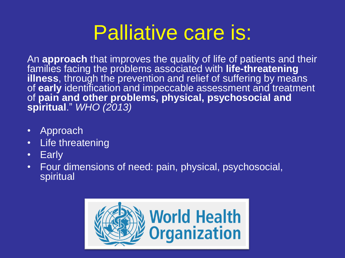## Palliative care is:

An **approach** that improves the quality of life of patients and their families facing the problems associated with **life-threatening**  illness, through the prevention and relief of suffering by means of **early** identification and impeccable assessment and treatment of **pain and other problems, physical, psychosocial and spiritual**." *WHO (2013)*

- Approach
- Life threatening
- Early
- Four dimensions of need: pain, physical, psychosocial, spiritual

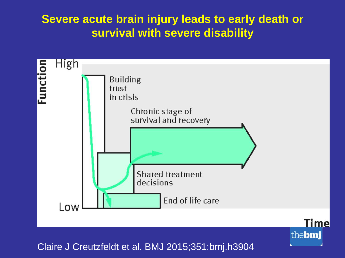### **Severe acute brain injury leads to early death or survival with severe disability**



Claire J Creutzfeldt et al. BMJ 2015;351:bmj.h3904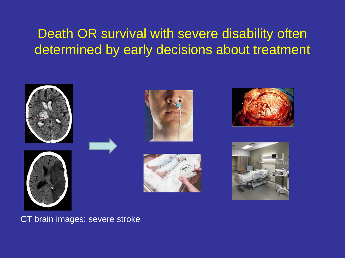### Death OR survival with severe disability often determined by early decisions about treatment



#### CT brain images: severe stroke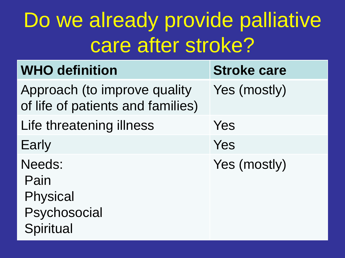# Do we already provide palliative care after stroke?

| <b>WHO definition</b>                                             | <b>Stroke care</b> |
|-------------------------------------------------------------------|--------------------|
| Approach (to improve quality<br>of life of patients and families) | Yes (mostly)       |
| Life threatening illness                                          | Yes                |
| Early                                                             | Yes                |
| Needs:<br>Pain<br><b>Physical</b><br>Psychosocial<br>Spiritual    | Yes (mostly)       |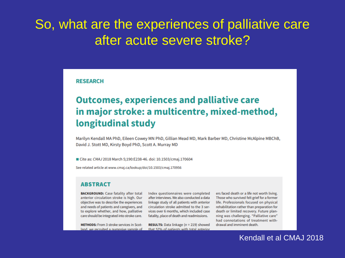### So, what are the experiences of palliative care after acute severe stroke?

**RESEARCH** 

#### **Outcomes, experiences and palliative care** in major stroke: a multicentre, mixed-method, longitudinal study

Marilyn Kendall MA PhD, Eileen Cowey MN PhD, Gillian Mead MD, Mark Barber MD, Christine McAlpine MBChB, David J. Stott MD, Kirsty Boyd PhD, Scott A. Murray MD

■ Cite as: CMAJ 2018 March 5;190:E238-46. doi: 10.1503/cmaj.170604

See related article at www.cmaj.ca/lookup/doi/10.1503/cmaj.170956

#### **ABSTRACT**

**BACKGROUND:** Case fatality after total anterior circulation stroke is high. Our objective was to describe the experiences and needs of patients and caregivers, and to explore whether, and how, palliative care should be integrated into stroke care.

**METHODS:** From 3 stroke services in Scotland, we recruited a purposive sample of Index questionnaires were completed after interviews. We also conducted a data linkage study of all patients with anterior circulation stroke admitted to the 3 services over 6 months, which included case fatality, place of death and readmissions.

**RESULTS:** Data linkage ( $n = 219$ ) showed that 57% of patients with total anterior

ers faced death or a life not worth living. Those who survived felt grief for a former life. Professionals focused on physical rehabilitation rather than preparation for death or limited recovery. Future planning was challenging. "Palliative care" had connotations of treatment withdrawal and imminent death.

#### Kendall et al CMAJ 2018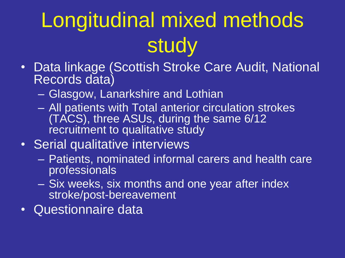# Longitudinal mixed methods study

- Data linkage (Scottish Stroke Care Audit, National Records data)
	- Glasgow, Lanarkshire and Lothian
	- All patients with Total anterior circulation strokes (TACS), three ASUs, during the same 6/12 recruitment to qualitative study

### • Serial qualitative interviews

- Patients, nominated informal carers and health care professionals
- Six weeks, six months and one year after index stroke/post-bereavement
- Questionnaire data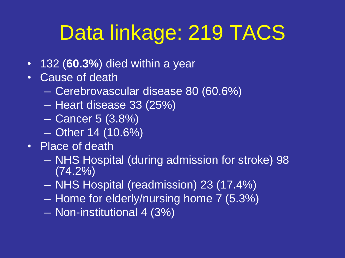# Data linkage: 219 TACS

- 132 (**60.3%**) died within a year
- Cause of death
	- Cerebrovascular disease 80 (60.6%)
	- Heart disease 33 (25%)
	- Cancer 5 (3.8%)
	- Other 14 (10.6%)
- Place of death
	- NHS Hospital (during admission for stroke) 98 (74.2%)
	- NHS Hospital (readmission) 23 (17.4%)
	- Home for elderly/nursing home 7 (5.3%)
	- Non-institutional 4 (3%)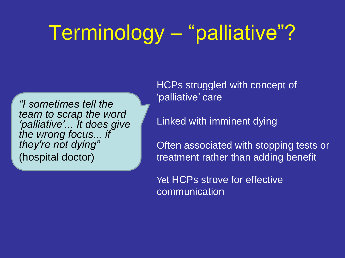# Terminology – "palliative"?

*"I sometimes tell the team to scrap the word 'palliative'... It does give the wrong focus... if they're not dying"*  (hospital doctor)

HCPs struggled with concept of 'palliative' care

Linked with imminent dying

Often associated with stopping tests or treatment rather than adding benefit

Yet HCPs strove for effective communication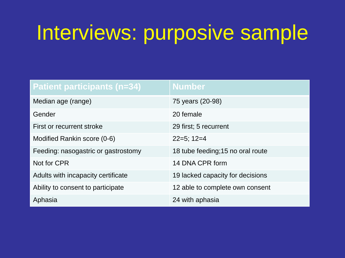## Interviews: purposive sample

| <b>Patient participants (n=34)</b>  | <b>Number</b>                     |
|-------------------------------------|-----------------------------------|
| Median age (range)                  | 75 years (20-98)                  |
| Gender                              | 20 female                         |
| First or recurrent stroke           | 29 first; 5 recurrent             |
| Modified Rankin score (0-6)         | $22=5$ ; 12=4                     |
| Feeding: nasogastric or gastrostomy | 18 tube feeding; 15 no oral route |
| Not for CPR                         | 14 DNA CPR form                   |
| Adults with incapacity certificate  | 19 lacked capacity for decisions  |
| Ability to consent to participate   | 12 able to complete own consent   |
| Aphasia                             | 24 with aphasia                   |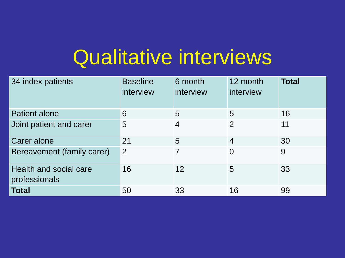## Qualitative interviews

| 34 index patients                       | <b>Baseline</b><br>interview | 6 month<br>interview | 12 month<br>interview | <b>Total</b> |
|-----------------------------------------|------------------------------|----------------------|-----------------------|--------------|
| Patient alone                           | 6                            | 5                    | 5                     | 16           |
| Joint patient and carer                 | $5\overline{)}$              | 4                    | 2                     | 11           |
| Carer alone                             | 21                           | 5                    | $\overline{4}$        | 30           |
| Bereavement (family carer)              | 2                            | 7                    | $\overline{0}$        | 9            |
| Health and social care<br>professionals | 16                           | 12                   | 5                     | 33           |
| <b>Total</b>                            | 50                           | 33                   | 16                    | 99           |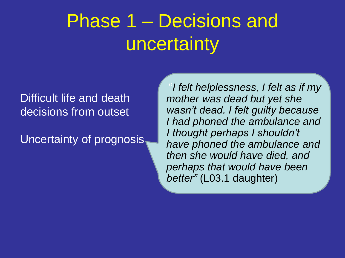### Phase 1 – Decisions and uncertainty

#### Difficult life and death decisions from outset

Uncertainty of prognosis

"*I felt helplessness, I felt as if my mother was dead but yet she wasn't dead. I felt guilty because I had phoned the ambulance and I thought perhaps I shouldn't have phoned the ambulance and then she would have died, and perhaps that would have been better"* (L03.1 daughter)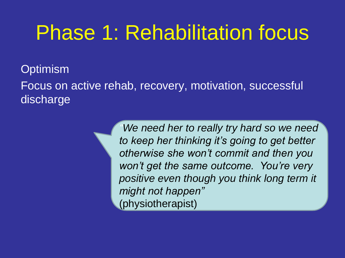## Phase 1: Rehabilitation focus

**Optimism** 

Focus on active rehab, recovery, motivation, successful discharge

> *"We need her to really try hard so we need to keep her thinking it's going to get better otherwise she won't commit and then you won't get the same outcome. You're very positive even though you think long term it might not happen"*  (physiotherapist)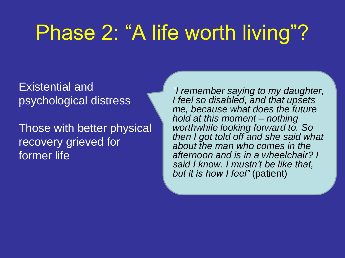## Phase 2: "A life worth living"?

Existential and psychological distress

Those with better physical recovery grieved for former life

*"I remember saying to my daughter, I feel so disabled, and that upsets me, because what does the future hold at this moment – nothing worthwhile looking forward to. So then I got told off and she said what about the man who comes in the afternoon and is in a wheelchair? I said I know. I mustn't be like that, but it is how I feel"* (patient)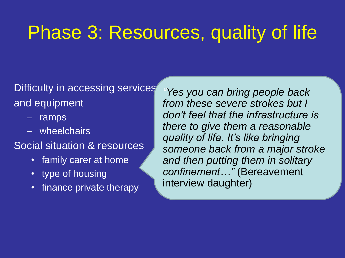### Phase 3: Resources, quality of life

Difficulty in accessing services and equipment

- ramps
- wheelchairs

Social situation & resources

- family carer at home
- type of housing
- finance private therapy

*"Yes you can bring people back from these severe strokes but I don't feel that the infrastructure is there to give them a reasonable quality of life. It's like bringing someone back from a major stroke and then putting them in solitary confinement…"* (Bereavement interview daughter)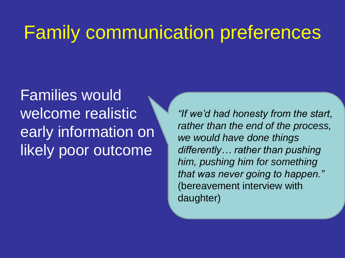### Family communication preferences

Families would welcome realistic early information on likely poor outcome

*"If we'd had honesty from the start, rather than the end of the process, we would have done things differently… rather than pushing him, pushing him for something that was never going to happen."*  (bereavement interview with daughter)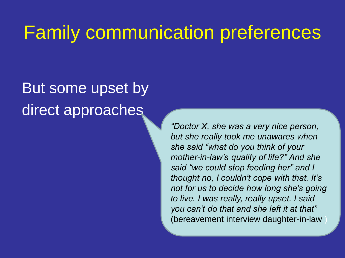### Family communication preferences

### But some upset by direct approaches

*"Doctor X, she was a very nice person, but she really took me unawares when she said "what do you think of your mother-in-law's quality of life?" And she said "we could stop feeding her" and I thought no, I couldn't cope with that. It's not for us to decide how long she's going to live. I was really, really upset. I said you can't do that and she left it at that"*  (bereavement interview daughter-in-law )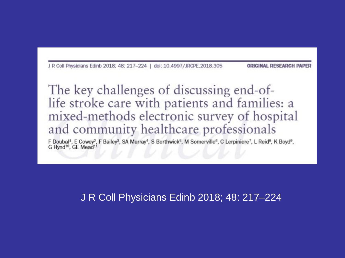J R Coll Physicians Edinb 2018; 48: 217-224 | doi: 10.4997/JRCPE.2018.305

**ORIGINAL RESEARCH PAP** 

The key challenges of discussing end-oflife stroke care with patients and families: a mixed-methods electronic survey of hospital and community healthcare professionals

F Doubal<sup>1</sup>, E Cowey<sup>2</sup>, F Bailey<sup>3</sup>, SA Murray<sup>4</sup>, S Borthwick<sup>5</sup>, M Somerville<sup>6</sup>, C Lerpiniere<sup>7</sup>, L Reid<sup>8</sup>, K Boyd<sup>9</sup>, G Hynd<sup>10</sup>, GE Mead<sup>11</sup>

J R Coll Physicians Edinb 2018; 48: 217–224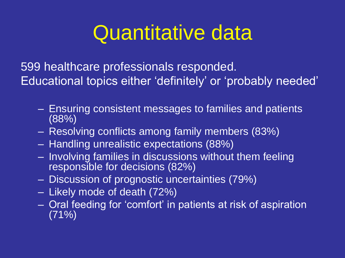## Quantitative data

599 healthcare professionals responded. Educational topics either 'definitely' or 'probably needed'

- Ensuring consistent messages to families and patients (88%)
- Resolving conflicts among family members (83%)
- Handling unrealistic expectations (88%)
- Involving families in discussions without them feeling responsible for decisions (82%)
- Discussion of prognostic uncertainties (79%)
- Likely mode of death (72%)
- Oral feeding for 'comfort' in patients at risk of aspiration  $(71\%)$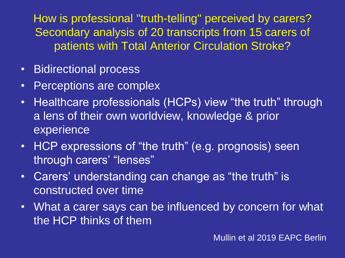How is professional "truth-telling" perceived by carers? Secondary analysis of 20 transcripts from 15 carers of patients with Total Anterior Circulation Stroke?

- Bidirectional process
- Perceptions are complex
- Healthcare professionals (HCPs) view "the truth" through a lens of their own worldview, knowledge & prior experience
- HCP expressions of "the truth" (e.g. prognosis) seen through carers' "lenses"
- Carers' understanding can change as "the truth" is constructed over time
- What a carer says can be influenced by concern for what the HCP thinks of them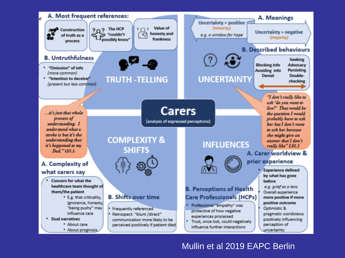

#### Mullin et al 2019 EAPC Berlin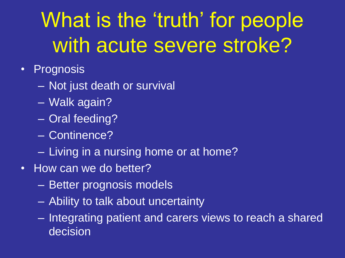# What is the 'truth' for people with acute severe stroke?

- Prognosis
	- Not just death or survival
	- Walk again?
	- Oral feeding?
	- Continence?
	- Living in a nursing home or at home?
- How can we do better?
	- Better prognosis models
	- Ability to talk about uncertainty
	- Integrating patient and carers views to reach a shared decision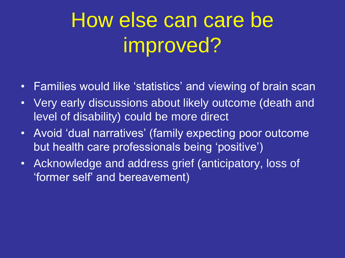# How else can care be improved?

- Families would like 'statistics' and viewing of brain scan
- Very early discussions about likely outcome (death and level of disability) could be more direct
- Avoid 'dual narratives' (family expecting poor outcome but health care professionals being 'positive')
- Acknowledge and address grief (anticipatory, loss of 'former self' and bereavement)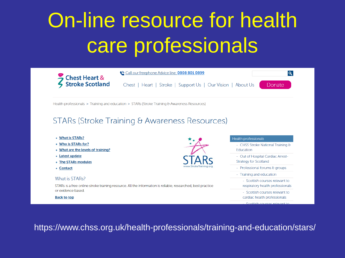# On-line resource for health care professionals



https://www.chss.org.uk/health-professionals/training-and-education/stars/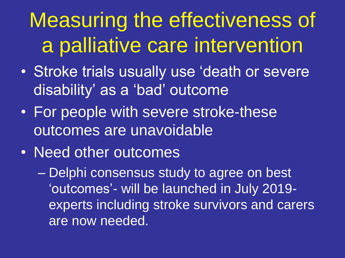# Measuring the effectiveness of a palliative care intervention

- Stroke trials usually use 'death or severe disability' as a 'bad' outcome
- For people with severe stroke-these outcomes are unavoidable
- Need other outcomes

– Delphi consensus study to agree on best 'outcomes'- will be launched in July 2019 experts including stroke survivors and carers are now needed.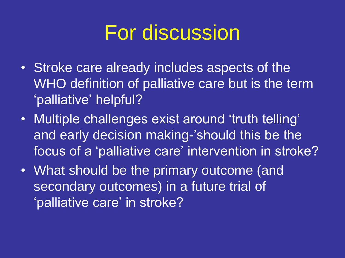### For discussion

- Stroke care already includes aspects of the WHO definition of palliative care but is the term 'palliative' helpful?
- Multiple challenges exist around 'truth telling' and early decision making-'should this be the focus of a 'palliative care' intervention in stroke?
- What should be the primary outcome (and secondary outcomes) in a future trial of 'palliative care' in stroke?